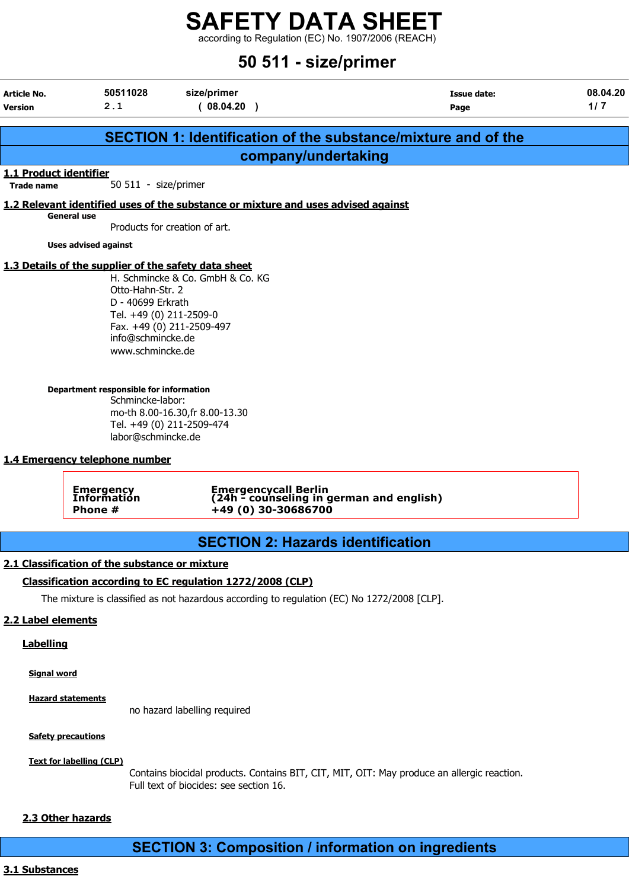according to Regulation (EC) No. 1907/2006 (REACH)

### 50 511 - size/primer

| <b>Article No.</b><br><b>Version</b>        | 50511028<br>2.1                                                                                                                                                                                                                                                                         | size/primer<br>(08.04.20)                                                                                                     | <b>Issue date:</b><br>Page                                           | 08.04.20<br>1/7 |
|---------------------------------------------|-----------------------------------------------------------------------------------------------------------------------------------------------------------------------------------------------------------------------------------------------------------------------------------------|-------------------------------------------------------------------------------------------------------------------------------|----------------------------------------------------------------------|-----------------|
|                                             |                                                                                                                                                                                                                                                                                         |                                                                                                                               |                                                                      |                 |
|                                             |                                                                                                                                                                                                                                                                                         |                                                                                                                               | <b>SECTION 1: Identification of the substance/mixture and of the</b> |                 |
|                                             |                                                                                                                                                                                                                                                                                         | company/undertaking                                                                                                           |                                                                      |                 |
| 1.1 Product identifier<br><b>Trade name</b> | 50 511 - size/primer                                                                                                                                                                                                                                                                    |                                                                                                                               |                                                                      |                 |
|                                             |                                                                                                                                                                                                                                                                                         | 1.2 Relevant identified uses of the substance or mixture and uses advised against                                             |                                                                      |                 |
|                                             | <b>General use</b>                                                                                                                                                                                                                                                                      | Products for creation of art.                                                                                                 |                                                                      |                 |
|                                             | <b>Uses advised against</b>                                                                                                                                                                                                                                                             |                                                                                                                               |                                                                      |                 |
|                                             | 1.3 Details of the supplier of the safety data sheet<br>Otto-Hahn-Str. 2<br>D - 40699 Erkrath<br>Tel. +49 (0) 211-2509-0<br>info@schmincke.de<br>www.schmincke.de<br>Department responsible for information<br>Schmincke-labor:<br>labor@schmincke.de<br>1.4 Emergency telephone number | H. Schmincke & Co. GmbH & Co. KG<br>Fax. +49 (0) 211-2509-497<br>mo-th 8.00-16.30, fr 8.00-13.30<br>Tel. +49 (0) 211-2509-474 |                                                                      |                 |
|                                             | <b>Emergency</b><br>Information<br>Phone #                                                                                                                                                                                                                                              | Emergencycall Berlin<br>(24h - counseling in german and english)<br>+49 (0) 30-30686700                                       |                                                                      |                 |
|                                             |                                                                                                                                                                                                                                                                                         | <b>SECTION 2: Hazards identification</b>                                                                                      |                                                                      |                 |
|                                             | 2.1 Classification of the substance or mixture                                                                                                                                                                                                                                          |                                                                                                                               |                                                                      |                 |
|                                             |                                                                                                                                                                                                                                                                                         | Classification according to EC regulation 1272/2008 (CLP)                                                                     |                                                                      |                 |
|                                             |                                                                                                                                                                                                                                                                                         | The mixture is classified as not hazardous according to regulation (EC) No 1272/2008 [CLP].                                   |                                                                      |                 |
| 2.2 Label elements                          |                                                                                                                                                                                                                                                                                         |                                                                                                                               |                                                                      |                 |
| <b>Labelling</b>                            |                                                                                                                                                                                                                                                                                         |                                                                                                                               |                                                                      |                 |
| <b>Signal word</b>                          |                                                                                                                                                                                                                                                                                         |                                                                                                                               |                                                                      |                 |
|                                             | <b>Hazard statements</b>                                                                                                                                                                                                                                                                |                                                                                                                               |                                                                      |                 |

no hazard labelling required

**Safety precautions** 

Text for labelling (CLP)

Contains biocidal products. Contains BIT, CIT, MIT, OIT: May produce an allergic reaction. Full text of biocides: see section 16.

#### 2.3 Other hazards

### SECTION 3: Composition / information on ingredients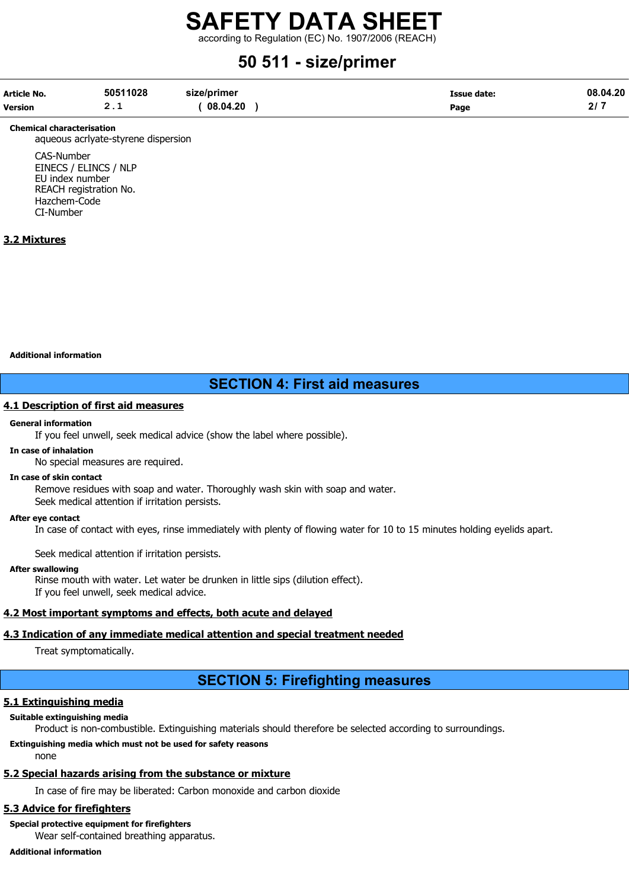according to Regulation (EC) No. 1907/2006 (REACH)

### 50 511 - size/primer

| Article No.    | 50511028 | size/primer | Issue date: | 08.04.20 |
|----------------|----------|-------------|-------------|----------|
| <b>Version</b> | - -      | 08.04.20    | Page        |          |

#### Chemical characterisation

aqueous acrlyate-styrene dispersion

CAS-Number EINECS / ELINCS / NLP EU index number REACH registration No. Hazchem-Code CI-Number

#### 3.2 Mixtures

Additional information

#### SECTION 4: First aid measures

#### 4.1 Description of first aid measures

#### General information

If you feel unwell, seek medical advice (show the label where possible).

#### In case of inhalation

No special measures are required.

#### In case of skin contact

Remove residues with soap and water. Thoroughly wash skin with soap and water. Seek medical attention if irritation persists.

#### After eye contact

In case of contact with eyes, rinse immediately with plenty of flowing water for 10 to 15 minutes holding eyelids apart.

Seek medical attention if irritation persists.

#### After swallowing

Rinse mouth with water. Let water be drunken in little sips (dilution effect). If you feel unwell, seek medical advice.

#### 4.2 Most important symptoms and effects, both acute and delayed

#### 4.3 Indication of any immediate medical attention and special treatment needed

Treat symptomatically.

#### SECTION 5: Firefighting measures

#### 5.1 Extinguishing media

#### Suitable extinguishing media

Product is non-combustible. Extinguishing materials should therefore be selected according to surroundings.

#### Extinguishing media which must not be used for safety reasons

none

#### 5.2 Special hazards arising from the substance or mixture

In case of fire may be liberated: Carbon monoxide and carbon dioxide

#### 5.3 Advice for firefighters

Special protective equipment for firefighters Wear self-contained breathing apparatus.

Additional information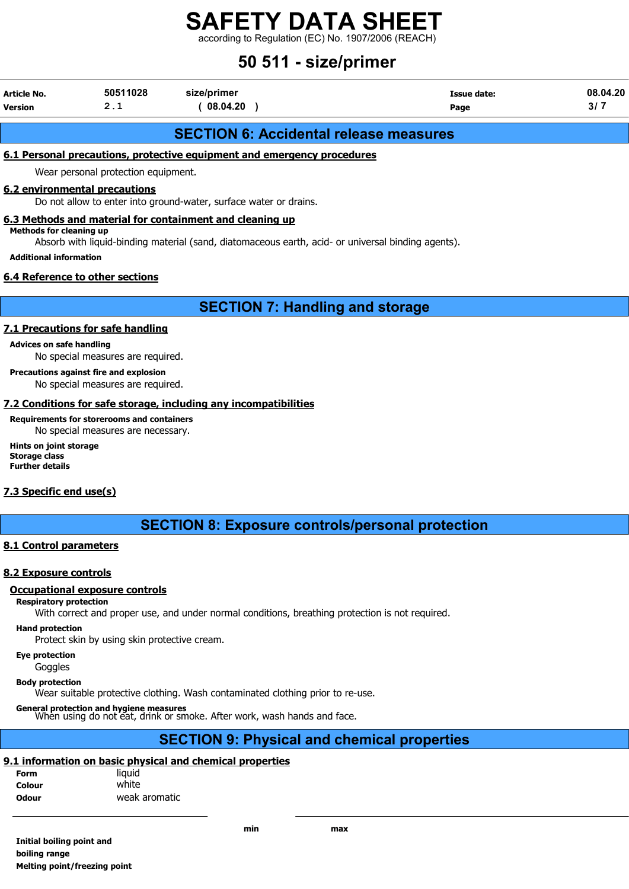according to Regulation (EC) No. 1907/2006 (REACH)

### 50 511 - size/primer

| Article No. | 50511028 | size/primer | Issue date: | 08.04.20 |
|-------------|----------|-------------|-------------|----------|
| Version     | <u>.</u> | 08.04.20    | Page        |          |
|             |          |             |             |          |

#### SECTION 6: Accidental release measures

#### 6.1 Personal precautions, protective equipment and emergency procedures

Wear personal protection equipment.

#### 6.2 environmental precautions

Do not allow to enter into ground-water, surface water or drains.

#### 6.3 Methods and material for containment and cleaning up Methods for cleaning up

Absorb with liquid-binding material (sand, diatomaceous earth, acid- or universal binding agents).

Additional information

#### 6.4 Reference to other sections

SECTION 7: Handling and storage

#### 7.1 Precautions for safe handling

#### Advices on safe handling

No special measures are required.

#### Precautions against fire and explosion

No special measures are required.

#### 7.2 Conditions for safe storage, including any incompatibilities

#### Requirements for storerooms and containers

No special measures are necessary.

Hints on joint storage Storage class Further details

#### 7.3 Specific end use(s)

SECTION 8: Exposure controls/personal protection

#### 8.1 Control parameters

#### 8.2 Exposure controls

#### Occupational exposure controls

#### Respiratory protection

With correct and proper use, and under normal conditions, breathing protection is not required.

#### Hand protection

Protect skin by using skin protective cream.

#### Eye protection

**Goggles** 

Body protection

Wear suitable protective clothing. Wash contaminated clothing prior to re-use.

General protection and hygiene measures<br>When using do not eat, drink or smoke. After work, wash hands and face.

#### SECTION 9: Physical and chemical properties

#### 9.1 information on basic physical and chemical properties

| <b>Form</b>  | liguid        |
|--------------|---------------|
| Colour       | white         |
| <b>Odour</b> | weak aromatic |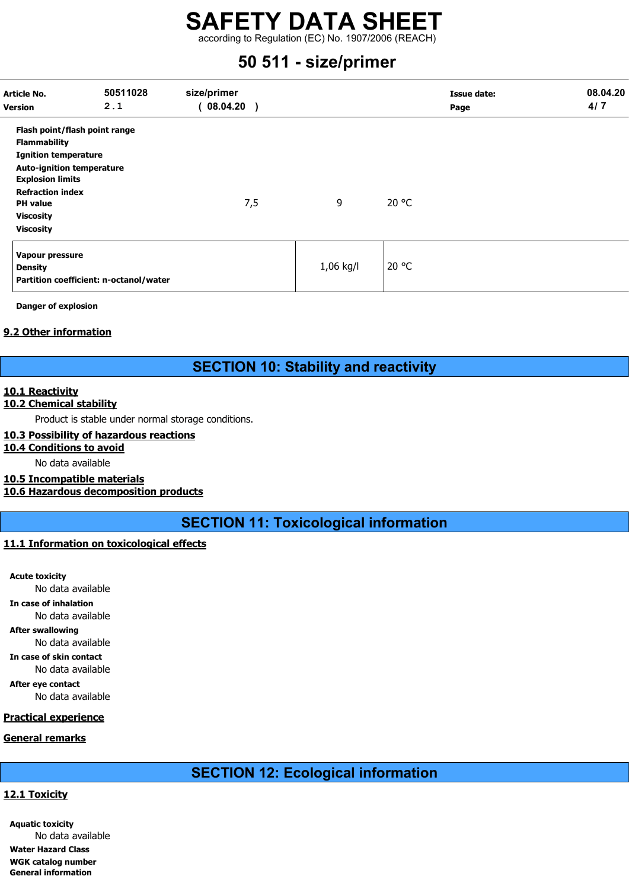according to Regulation (EC) No. 1907/2006 (REACH)

### 50 511 - size/primer

| Article No.<br><b>Version</b>                                                                                                                                                                                                            | 50511028<br>2.1                        | size/primer<br>08.04.20 |           | <b>Issue date:</b><br>Page | 08.04.20<br>4/7 |
|------------------------------------------------------------------------------------------------------------------------------------------------------------------------------------------------------------------------------------------|----------------------------------------|-------------------------|-----------|----------------------------|-----------------|
| Flash point/flash point range<br><b>Flammability</b><br><b>Ignition temperature</b><br><b>Auto-ignition temperature</b><br><b>Explosion limits</b><br><b>Refraction index</b><br><b>PH</b> value<br><b>Viscosity</b><br><b>Viscosity</b> |                                        | 7,5                     | 9         | 20 °C                      |                 |
| Vapour pressure<br><b>Density</b>                                                                                                                                                                                                        | Partition coefficient: n-octanol/water |                         | 1,06 kg/l | 20 °C                      |                 |

Danger of explosion

#### 9.2 Other information

#### SECTION 10: Stability and reactivity

#### 10.1 Reactivity

#### 10.2 Chemical stability

Product is stable under normal storage conditions.

#### 10.3 Possibility of hazardous reactions

#### 10.4 Conditions to avoid

No data available

#### 10.5 Incompatible materials

10.6 Hazardous decomposition products

SECTION 11: Toxicological information

#### 11.1 Information on toxicological effects

Acute toxicity No data available In case of inhalation No data available After swallowing No data available In case of skin contact No data available After eye contact No data available Practical experience General remarks

### SECTION 12: Ecological information

#### 12.1 Toxicity

Aquatic toxicity No data available Water Hazard Class WGK catalog number General information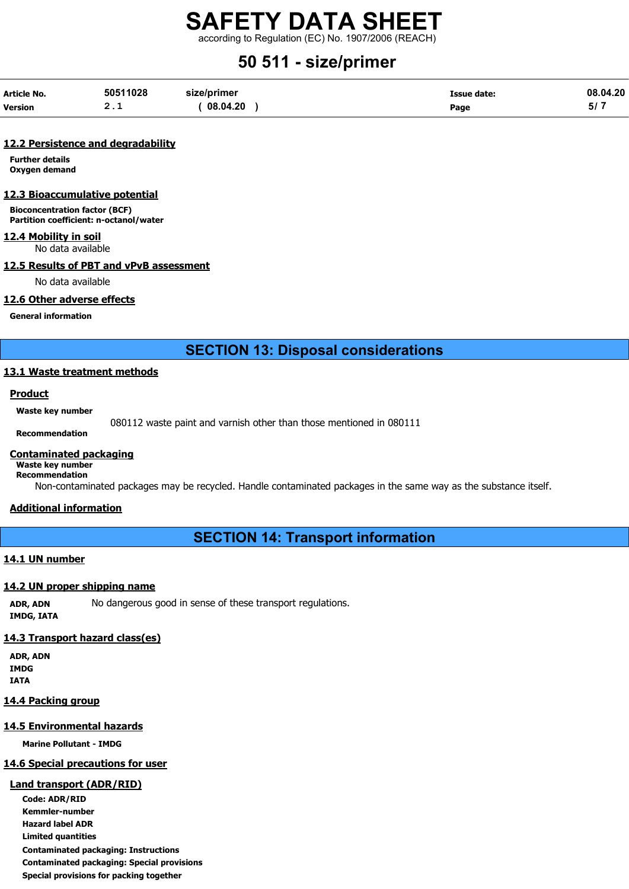according to Regulation (EC) No. 1907/2006 (REACH)

## 50 511 - size/primer

| <b>Article No.</b> | 50511028 | size/primer | Issue date: | 08.04.20 |
|--------------------|----------|-------------|-------------|----------|
| <b>Version</b>     | <u>.</u> | 08.04.20    | Page        | י וכ     |

#### 12.2 Persistence and degradability

Further details Oxygen demand

#### 12.3 Bioaccumulative potential

Bioconcentration factor (BCF) Partition coefficient: n-octanol/water

#### 12.4 Mobility in soil

No data available

#### 12.5 Results of PBT and vPvB assessment

No data available

#### 12.6 Other adverse effects

General information

SECTION 13: Disposal considerations

#### 13.1 Waste treatment methods

#### Product

Waste key number

080112 waste paint and varnish other than those mentioned in 080111

Recommendation

#### Contaminated packaging

Waste key number Recommendation

Non-contaminated packages may be recycled. Handle contaminated packages in the same way as the substance itself.

#### Additional information

SECTION 14: Transport information

#### 14.1 UN number

#### 14.2 UN proper shipping name

ADR, ADN No dangerous good in sense of these transport regulations. IMDG, IATA

#### 14.3 Transport hazard class(es)

ADR, ADN IMDG IATA

#### 14.4 Packing group

#### 14.5 Environmental hazards

Marine Pollutant - IMDG

#### 14.6 Special precautions for user

#### Land transport (ADR/RID)

Code: ADR/RID Kemmler-number Hazard label ADR Limited quantities Contaminated packaging: Instructions Contaminated packaging: Special provisions Special provisions for packing together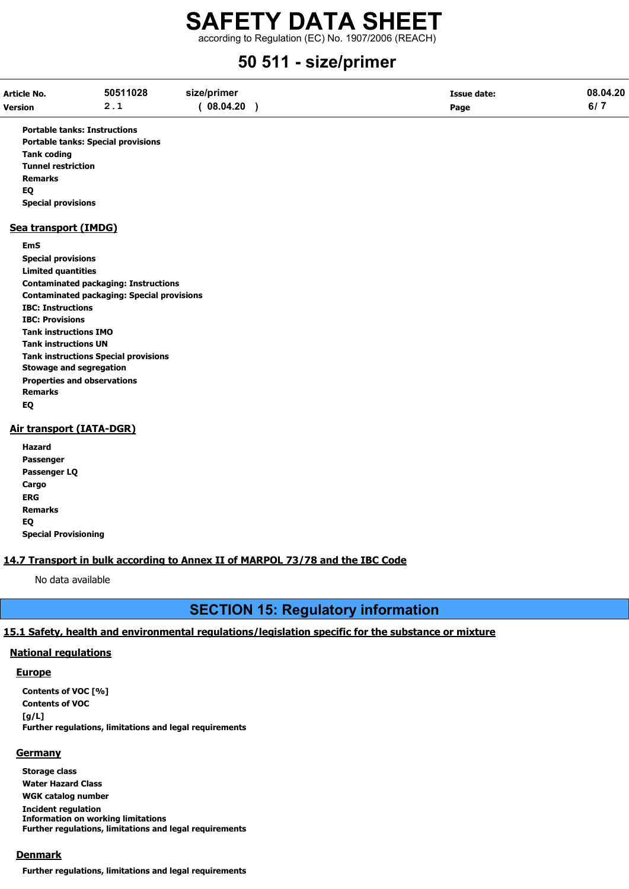according to Regulation (EC) No. 1907/2006 (REACH)

### 50 511 - size/primer

| Article No.    | 50511028 | size/primer | <b>Issue date:</b> | 08.04.20     |
|----------------|----------|-------------|--------------------|--------------|
| <b>Version</b> | <u>.</u> | 08.04.20    | Page               | $\mathbf{v}$ |

Portable tanks: Instructions Portable tanks: Special provisions Tank coding Tunnel restriction Remarks EQ Special provisions

#### Sea transport (IMDG)

#### EmS

Special provisions Limited quantities Contaminated packaging: Instructions Contaminated packaging: Special provisions IBC: Instructions IBC: Provisions Tank instructions IMO Tank instructions UN Tank instructions Special provisions Stowage and segregation Properties and observations Remarks EQ

#### Air transport (IATA-DGR)

| Hazard                      |
|-----------------------------|
| Passenger                   |
| Passenger LQ                |
| Cargo                       |
| ERG                         |
| Remarks                     |
| EQ                          |
| <b>Special Provisioning</b> |

#### 14.7 Transport in bulk according to Annex II of MARPOL 73/78 and the IBC Code

No data available

### SECTION 15: Regulatory information

#### 15.1 Safety, health and environmental regulations/legislation specific for the substance or mixture

#### National regulations

#### **Europe**

Contents of VOC [%] Contents of VOC [g/L] Further regulations, limitations and legal requirements

#### **Germany**

Storage class Water Hazard Class WGK catalog number Incident regulation Information on working limitations Further regulations, limitations and legal requirements

#### **Denmark**

Further regulations, limitations and legal requirements